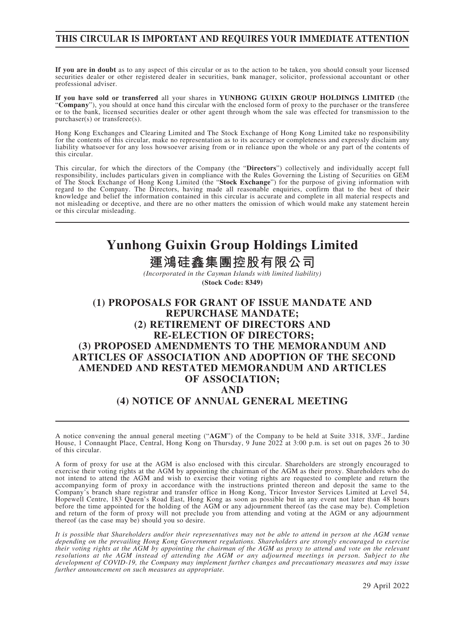## **THIS CIRCULAR IS IMPORTANT AND REQUIRES YOUR IMMEDIATE ATTENTION**

**If you are in doubt** as to any aspect of this circular or as to the action to be taken, you should consult your licensed securities dealer or other registered dealer in securities, bank manager, solicitor, professional accountant or other professional adviser.

**If you have sold or transferred** all your shares in **YUNHONG GUIXIN GROUP HOLDINGS LIMITED** (the "**Company**"), you should at once hand this circular with the enclosed form of proxy to the purchaser or the transferee or to the bank, licensed securities dealer or other agent through whom the sale was effected for transmission to the purchaser(s) or transferee(s).

Hong Kong Exchanges and Clearing Limited and The Stock Exchange of Hong Kong Limited take no responsibility for the contents of this circular, make no representation as to its accuracy or completeness and expressly disclaim any liability whatsoever for any loss howsoever arising from or in reliance upon the whole or any part of the contents of this circular.

This circular, for which the directors of the Company (the "**Directors**") collectively and individually accept full responsibility, includes particulars given in compliance with the Rules Governing the Listing of Securities on GEM of The Stock Exchange of Hong Kong Limited (the "**Stock Exchange**") for the purpose of giving information with regard to the Company. The Directors, having made all reasonable enquiries, confirm that to the best of their knowledge and belief the information contained in this circular is accurate and complete in all material respects and not misleading or deceptive, and there are no other matters the omission of which would make any statement herein or this circular misleading.

# **Yunhong Guixin Group Holdings Limited**

**運鴻硅鑫集團控股有限公司**

*(Incorporated in the Cayman Islands with limited liability)* **(Stock Code: 8349)**

## **(1) PROPOSALS FOR GRANT OF ISSUE MANDATE AND REPURCHASE MANDATE; (2) RETIREMENT OF DIRECTORS AND RE-ELECTION OF DIRECTORS; (3) PROPOSED AMENDMENTS TO THE MEMORANDUM AND ARTICLES OF ASSOCIATION AND ADOPTION OF THE SECOND AMENDED AND RESTATED MEMORANDUM AND ARTICLES OF ASSOCIATION; AND (4) NOTICE OF ANNUAL GENERAL MEETING**

A notice convening the annual general meeting ("**AGM**") of the Company to be held at Suite 3318, 33/F., Jardine House, 1 Connaught Place, Central, Hong Kong on Thursday, 9 June 2022 at 3:00 p.m. is set out on pages 26 to 30 of this circular.

A form of proxy for use at the AGM is also enclosed with this circular. Shareholders are strongly encouraged to exercise their voting rights at the AGM by appointing the chairman of the AGM as their proxy. Shareholders who do not intend to attend the AGM and wish to exercise their voting rights are requested to complete and return the accompanying form of proxy in accordance with the instructions printed thereon and deposit the same to the Company's branch share registrar and transfer office in Hong Kong, Tricor Investor Services Limited at Level 54, Hopewell Centre, 183 Queen's Road East, Hong Kong as soon as possible but in any event not later than 48 hours before the time appointed for the holding of the AGM or any adjournment thereof (as the case may be). Completion and return of the form of proxy will not preclude you from attending and voting at the AGM or any adjournment thereof (as the case may be) should you so desire.

*It is possible that Shareholders and/or their representatives may not be able to attend in person at the AGM venue depending on the prevailing Hong Kong Government regulations. Shareholders are strongly encouraged to exercise their voting rights at the AGM by appointing the chairman of the AGM as proxy to attend and vote on the relevant resolutions at the AGM instead of attending the AGM or any adjourned meetings in person. Subject to the development of COVID-19, the Company may implement further changes and precautionary measures and may issue further announcement on such measures as appropriate.*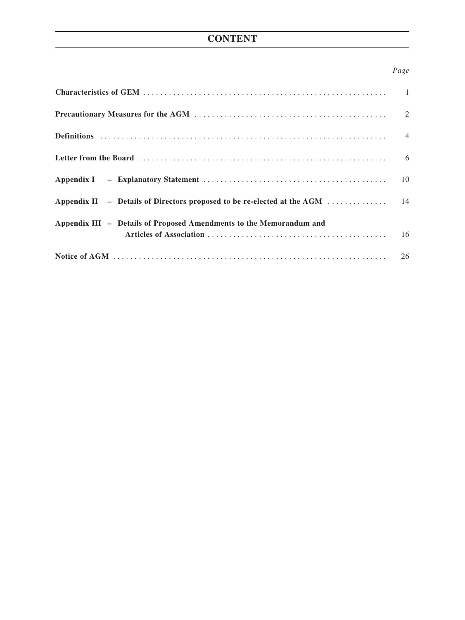## **CONTENT**

## *Page*

| Appendix III - Details of Proposed Amendments to the Memorandum and |  |
|---------------------------------------------------------------------|--|
|                                                                     |  |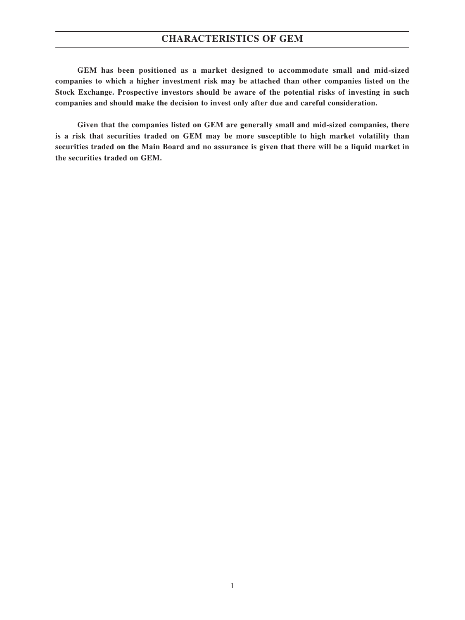## **CHARACTERISTICS OF GEM**

**GEM has been positioned as a market designed to accommodate small and mid-sized companies to which a higher investment risk may be attached than other companies listed on the Stock Exchange. Prospective investors should be aware of the potential risks of investing in such companies and should make the decision to invest only after due and careful consideration.**

**Given that the companies listed on GEM are generally small and mid-sized companies, there is a risk that securities traded on GEM may be more susceptible to high market volatility than securities traded on the Main Board and no assurance is given that there will be a liquid market in the securities traded on GEM.**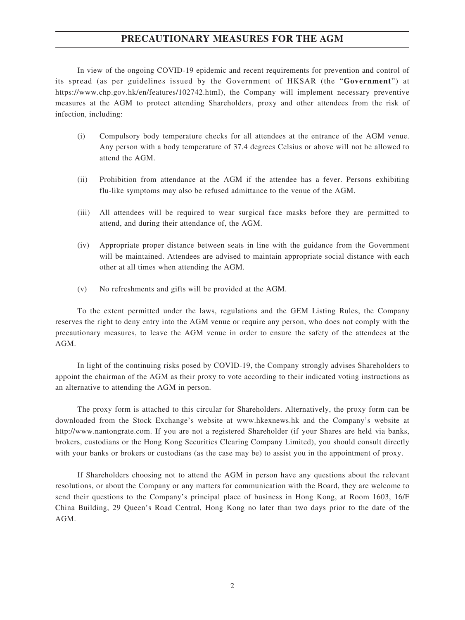## **PRECAUTIONARY MEASURES FOR THE AGM**

In view of the ongoing COVID-19 epidemic and recent requirements for prevention and control of its spread (as per guidelines issued by the Government of HKSAR (the "**Government**") at https://www.chp.gov.hk/en/features/102742.html), the Company will implement necessary preventive measures at the AGM to protect attending Shareholders, proxy and other attendees from the risk of infection, including:

- (i) Compulsory body temperature checks for all attendees at the entrance of the AGM venue. Any person with a body temperature of 37.4 degrees Celsius or above will not be allowed to attend the AGM.
- (ii) Prohibition from attendance at the AGM if the attendee has a fever. Persons exhibiting flu-like symptoms may also be refused admittance to the venue of the AGM.
- (iii) All attendees will be required to wear surgical face masks before they are permitted to attend, and during their attendance of, the AGM.
- (iv) Appropriate proper distance between seats in line with the guidance from the Government will be maintained. Attendees are advised to maintain appropriate social distance with each other at all times when attending the AGM.
- (v) No refreshments and gifts will be provided at the AGM.

To the extent permitted under the laws, regulations and the GEM Listing Rules, the Company reserves the right to deny entry into the AGM venue or require any person, who does not comply with the precautionary measures, to leave the AGM venue in order to ensure the safety of the attendees at the AGM.

In light of the continuing risks posed by COVID-19, the Company strongly advises Shareholders to appoint the chairman of the AGM as their proxy to vote according to their indicated voting instructions as an alternative to attending the AGM in person.

The proxy form is attached to this circular for Shareholders. Alternatively, the proxy form can be downloaded from the Stock Exchange's website at www.hkexnews.hk and the Company's website at http://www.nantongrate.com. If you are not a registered Shareholder (if your Shares are held via banks, brokers, custodians or the Hong Kong Securities Clearing Company Limited), you should consult directly with your banks or brokers or custodians (as the case may be) to assist you in the appointment of proxy.

If Shareholders choosing not to attend the AGM in person have any questions about the relevant resolutions, or about the Company or any matters for communication with the Board, they are welcome to send their questions to the Company's principal place of business in Hong Kong, at Room 1603, 16/F China Building, 29 Queen's Road Central, Hong Kong no later than two days prior to the date of the AGM.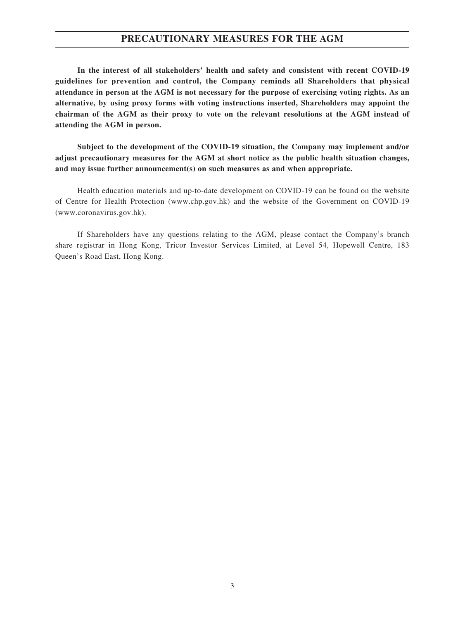### **PRECAUTIONARY MEASURES FOR THE AGM**

**In the interest of all stakeholders' health and safety and consistent with recent COVID-19 guidelines for prevention and control, the Company reminds all Shareholders that physical attendance in person at the AGM is not necessary for the purpose of exercising voting rights. As an alternative, by using proxy forms with voting instructions inserted, Shareholders may appoint the chairman of the AGM as their proxy to vote on the relevant resolutions at the AGM instead of attending the AGM in person.**

**Subject to the development of the COVID-19 situation, the Company may implement and/or adjust precautionary measures for the AGM at short notice as the public health situation changes, and may issue further announcement(s) on such measures as and when appropriate.**

Health education materials and up-to-date development on COVID-19 can be found on the website of Centre for Health Protection (www.chp.gov.hk) and the website of the Government on COVID-19 (www.coronavirus.gov.hk).

If Shareholders have any questions relating to the AGM, please contact the Company's branch share registrar in Hong Kong, Tricor Investor Services Limited, at Level 54, Hopewell Centre, 183 Queen's Road East, Hong Kong.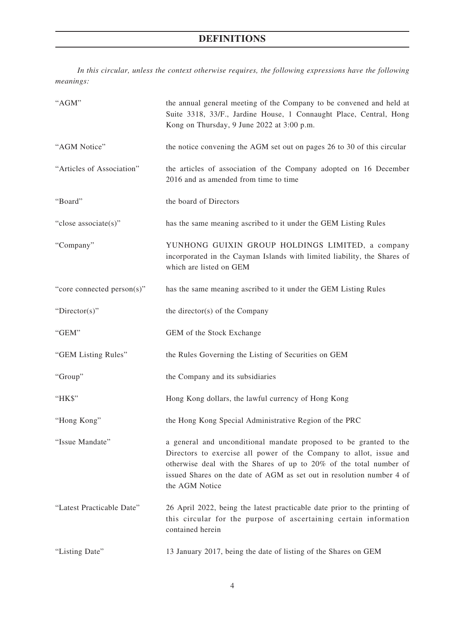# **DEFINITIONS**

*In this circular, unless the context otherwise requires, the following expressions have the following meanings:*

| "AGM"                      | the annual general meeting of the Company to be convened and held at<br>Suite 3318, 33/F., Jardine House, 1 Connaught Place, Central, Hong<br>Kong on Thursday, 9 June 2022 at 3:00 p.m.                                                                                                                 |
|----------------------------|----------------------------------------------------------------------------------------------------------------------------------------------------------------------------------------------------------------------------------------------------------------------------------------------------------|
| "AGM Notice"               | the notice convening the AGM set out on pages 26 to 30 of this circular                                                                                                                                                                                                                                  |
| "Articles of Association"  | the articles of association of the Company adopted on 16 December<br>2016 and as amended from time to time                                                                                                                                                                                               |
| "Board"                    | the board of Directors                                                                                                                                                                                                                                                                                   |
| "close associate(s)"       | has the same meaning ascribed to it under the GEM Listing Rules                                                                                                                                                                                                                                          |
| "Company"                  | YUNHONG GUIXIN GROUP HOLDINGS LIMITED, a company<br>incorporated in the Cayman Islands with limited liability, the Shares of<br>which are listed on GEM                                                                                                                                                  |
| "core connected person(s)" | has the same meaning ascribed to it under the GEM Listing Rules                                                                                                                                                                                                                                          |
| "Director(s)"              | the director(s) of the Company                                                                                                                                                                                                                                                                           |
| "GEM"                      | GEM of the Stock Exchange                                                                                                                                                                                                                                                                                |
| "GEM Listing Rules"        | the Rules Governing the Listing of Securities on GEM                                                                                                                                                                                                                                                     |
| "Group"                    | the Company and its subsidiaries                                                                                                                                                                                                                                                                         |
| "HK\$"                     | Hong Kong dollars, the lawful currency of Hong Kong                                                                                                                                                                                                                                                      |
| "Hong Kong"                | the Hong Kong Special Administrative Region of the PRC                                                                                                                                                                                                                                                   |
| "Issue Mandate"            | a general and unconditional mandate proposed to be granted to the<br>Directors to exercise all power of the Company to allot, issue and<br>otherwise deal with the Shares of up to 20% of the total number of<br>issued Shares on the date of AGM as set out in resolution number 4 of<br>the AGM Notice |
| "Latest Practicable Date"  | 26 April 2022, being the latest practicable date prior to the printing of<br>this circular for the purpose of ascertaining certain information<br>contained herein                                                                                                                                       |
| "Listing Date"             | 13 January 2017, being the date of listing of the Shares on GEM                                                                                                                                                                                                                                          |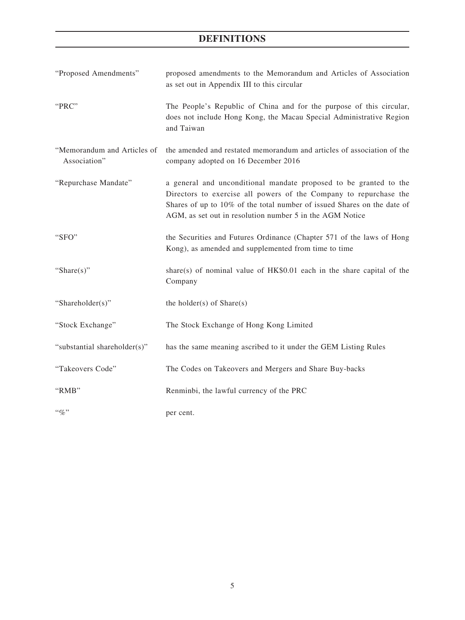## **DEFINITIONS**

| "Proposed Amendments"                       | proposed amendments to the Memorandum and Articles of Association<br>as set out in Appendix III to this circular                                                                                                                                                              |
|---------------------------------------------|-------------------------------------------------------------------------------------------------------------------------------------------------------------------------------------------------------------------------------------------------------------------------------|
| "PRC"                                       | The People's Republic of China and for the purpose of this circular,<br>does not include Hong Kong, the Macau Special Administrative Region<br>and Taiwan                                                                                                                     |
| "Memorandum and Articles of<br>Association" | the amended and restated memorandum and articles of association of the<br>company adopted on 16 December 2016                                                                                                                                                                 |
| "Repurchase Mandate"                        | a general and unconditional mandate proposed to be granted to the<br>Directors to exercise all powers of the Company to repurchase the<br>Shares of up to 10% of the total number of issued Shares on the date of<br>AGM, as set out in resolution number 5 in the AGM Notice |
| "SFO"                                       | the Securities and Futures Ordinance (Chapter 571 of the laws of Hong<br>Kong), as amended and supplemented from time to time                                                                                                                                                 |
| "Share $(s)$ "                              | share(s) of nominal value of HK\$0.01 each in the share capital of the<br>Company                                                                                                                                                                                             |
| "Shareholder(s)"                            | the holder(s) of $Share(s)$                                                                                                                                                                                                                                                   |
| "Stock Exchange"                            | The Stock Exchange of Hong Kong Limited                                                                                                                                                                                                                                       |
| "substantial shareholder(s)"                | has the same meaning ascribed to it under the GEM Listing Rules                                                                                                                                                                                                               |
| "Takeovers Code"                            | The Codes on Takeovers and Mergers and Share Buy-backs                                                                                                                                                                                                                        |
| "RMB"                                       | Renminbi, the lawful currency of the PRC                                                                                                                                                                                                                                      |
| $``q_0"$                                    | per cent.                                                                                                                                                                                                                                                                     |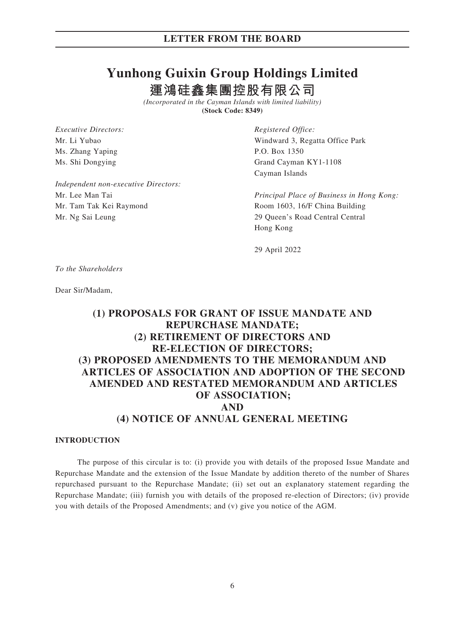# **Yunhong Guixin Group Holdings Limited 運鴻硅鑫集團控股有限公司**

*(Incorporated in the Cayman Islands with limited liability)*

**(Stock Code: 8349)**

*Executive Directors: Registered Office:* Ms. Zhang Yaping P.O. Box 1350

Mr. Li Yubao Windward 3, Regatta Office Park Ms. Shi Dongying Grand Cayman KY1-1108 Cayman Islands

*Independent non-executive Directors:* Mr. Lee Man Tai *Principal Place of Business in Hong Kong:* Mr. Tam Tak Kei Raymond Room 1603, 16/F China Building Mr. Ng Sai Leung 29 Queen's Road Central Central

Hong Kong

29 April 2022

*To the Shareholders*

Dear Sir/Madam,

## **(1) PROPOSALS FOR GRANT OF ISSUE MANDATE AND REPURCHASE MANDATE; (2) RETIREMENT OF DIRECTORS AND RE-ELECTION OF DIRECTORS; (3) PROPOSED AMENDMENTS TO THE MEMORANDUM AND ARTICLES OF ASSOCIATION AND ADOPTION OF THE SECOND AMENDED AND RESTATED MEMORANDUM AND ARTICLES OF ASSOCIATION; AND (4) NOTICE OF ANNUAL GENERAL MEETING**

#### **INTRODUCTION**

The purpose of this circular is to: (i) provide you with details of the proposed Issue Mandate and Repurchase Mandate and the extension of the Issue Mandate by addition thereto of the number of Shares repurchased pursuant to the Repurchase Mandate; (ii) set out an explanatory statement regarding the Repurchase Mandate; (iii) furnish you with details of the proposed re-election of Directors; (iv) provide you with details of the Proposed Amendments; and (v) give you notice of the AGM.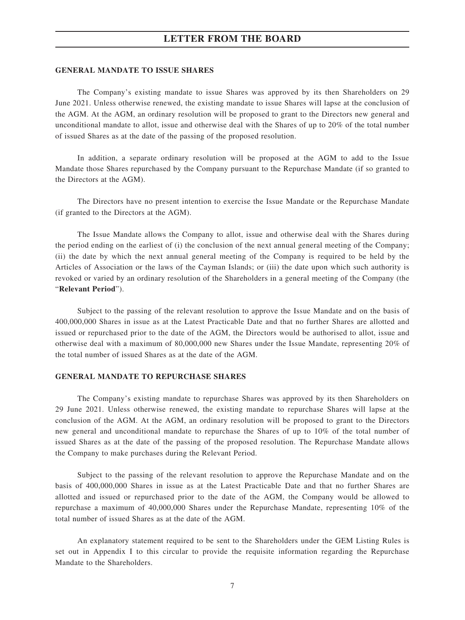#### **GENERAL MANDATE TO ISSUE SHARES**

The Company's existing mandate to issue Shares was approved by its then Shareholders on 29 June 2021. Unless otherwise renewed, the existing mandate to issue Shares will lapse at the conclusion of the AGM. At the AGM, an ordinary resolution will be proposed to grant to the Directors new general and unconditional mandate to allot, issue and otherwise deal with the Shares of up to 20% of the total number of issued Shares as at the date of the passing of the proposed resolution.

In addition, a separate ordinary resolution will be proposed at the AGM to add to the Issue Mandate those Shares repurchased by the Company pursuant to the Repurchase Mandate (if so granted to the Directors at the AGM).

The Directors have no present intention to exercise the Issue Mandate or the Repurchase Mandate (if granted to the Directors at the AGM).

The Issue Mandate allows the Company to allot, issue and otherwise deal with the Shares during the period ending on the earliest of (i) the conclusion of the next annual general meeting of the Company; (ii) the date by which the next annual general meeting of the Company is required to be held by the Articles of Association or the laws of the Cayman Islands; or (iii) the date upon which such authority is revoked or varied by an ordinary resolution of the Shareholders in a general meeting of the Company (the "**Relevant Period**").

Subject to the passing of the relevant resolution to approve the Issue Mandate and on the basis of 400,000,000 Shares in issue as at the Latest Practicable Date and that no further Shares are allotted and issued or repurchased prior to the date of the AGM, the Directors would be authorised to allot, issue and otherwise deal with a maximum of 80,000,000 new Shares under the Issue Mandate, representing 20% of the total number of issued Shares as at the date of the AGM.

#### **GENERAL MANDATE TO REPURCHASE SHARES**

The Company's existing mandate to repurchase Shares was approved by its then Shareholders on 29 June 2021. Unless otherwise renewed, the existing mandate to repurchase Shares will lapse at the conclusion of the AGM. At the AGM, an ordinary resolution will be proposed to grant to the Directors new general and unconditional mandate to repurchase the Shares of up to 10% of the total number of issued Shares as at the date of the passing of the proposed resolution. The Repurchase Mandate allows the Company to make purchases during the Relevant Period.

Subject to the passing of the relevant resolution to approve the Repurchase Mandate and on the basis of 400,000,000 Shares in issue as at the Latest Practicable Date and that no further Shares are allotted and issued or repurchased prior to the date of the AGM, the Company would be allowed to repurchase a maximum of 40,000,000 Shares under the Repurchase Mandate, representing 10% of the total number of issued Shares as at the date of the AGM.

An explanatory statement required to be sent to the Shareholders under the GEM Listing Rules is set out in Appendix I to this circular to provide the requisite information regarding the Repurchase Mandate to the Shareholders.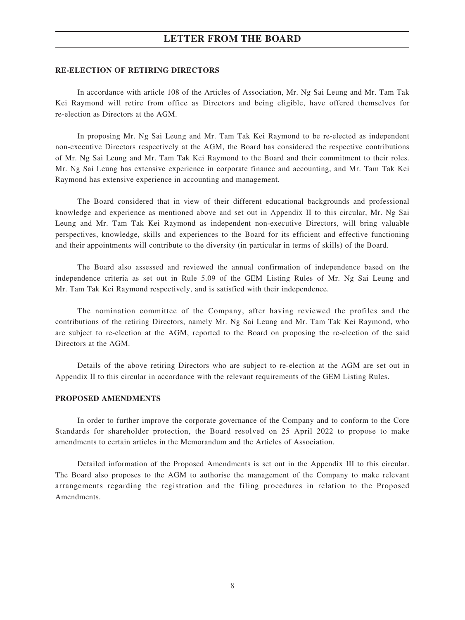#### **RE-ELECTION OF RETIRING DIRECTORS**

In accordance with article 108 of the Articles of Association, Mr. Ng Sai Leung and Mr. Tam Tak Kei Raymond will retire from office as Directors and being eligible, have offered themselves for re-election as Directors at the AGM.

In proposing Mr. Ng Sai Leung and Mr. Tam Tak Kei Raymond to be re-elected as independent non-executive Directors respectively at the AGM, the Board has considered the respective contributions of Mr. Ng Sai Leung and Mr. Tam Tak Kei Raymond to the Board and their commitment to their roles. Mr. Ng Sai Leung has extensive experience in corporate finance and accounting, and Mr. Tam Tak Kei Raymond has extensive experience in accounting and management.

The Board considered that in view of their different educational backgrounds and professional knowledge and experience as mentioned above and set out in Appendix II to this circular, Mr. Ng Sai Leung and Mr. Tam Tak Kei Raymond as independent non-executive Directors, will bring valuable perspectives, knowledge, skills and experiences to the Board for its efficient and effective functioning and their appointments will contribute to the diversity (in particular in terms of skills) of the Board.

The Board also assessed and reviewed the annual confirmation of independence based on the independence criteria as set out in Rule 5.09 of the GEM Listing Rules of Mr. Ng Sai Leung and Mr. Tam Tak Kei Raymond respectively, and is satisfied with their independence.

The nomination committee of the Company, after having reviewed the profiles and the contributions of the retiring Directors, namely Mr. Ng Sai Leung and Mr. Tam Tak Kei Raymond, who are subject to re-election at the AGM, reported to the Board on proposing the re-election of the said Directors at the AGM.

Details of the above retiring Directors who are subject to re-election at the AGM are set out in Appendix II to this circular in accordance with the relevant requirements of the GEM Listing Rules.

#### **PROPOSED AMENDMENTS**

In order to further improve the corporate governance of the Company and to conform to the Core Standards for shareholder protection, the Board resolved on 25 April 2022 to propose to make amendments to certain articles in the Memorandum and the Articles of Association.

Detailed information of the Proposed Amendments is set out in the Appendix III to this circular. The Board also proposes to the AGM to authorise the management of the Company to make relevant arrangements regarding the registration and the filing procedures in relation to the Proposed Amendments.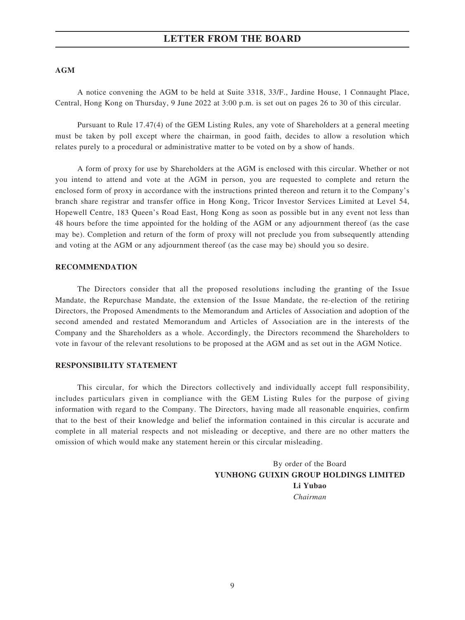#### **AGM**

A notice convening the AGM to be held at Suite 3318, 33/F., Jardine House, 1 Connaught Place, Central, Hong Kong on Thursday, 9 June 2022 at 3:00 p.m. is set out on pages 26 to 30 of this circular.

Pursuant to Rule 17.47(4) of the GEM Listing Rules, any vote of Shareholders at a general meeting must be taken by poll except where the chairman, in good faith, decides to allow a resolution which relates purely to a procedural or administrative matter to be voted on by a show of hands.

A form of proxy for use by Shareholders at the AGM is enclosed with this circular. Whether or not you intend to attend and vote at the AGM in person, you are requested to complete and return the enclosed form of proxy in accordance with the instructions printed thereon and return it to the Company's branch share registrar and transfer office in Hong Kong, Tricor Investor Services Limited at Level 54, Hopewell Centre, 183 Queen's Road East, Hong Kong as soon as possible but in any event not less than 48 hours before the time appointed for the holding of the AGM or any adjournment thereof (as the case may be). Completion and return of the form of proxy will not preclude you from subsequently attending and voting at the AGM or any adjournment thereof (as the case may be) should you so desire.

#### **RECOMMENDATION**

The Directors consider that all the proposed resolutions including the granting of the Issue Mandate, the Repurchase Mandate, the extension of the Issue Mandate, the re-election of the retiring Directors, the Proposed Amendments to the Memorandum and Articles of Association and adoption of the second amended and restated Memorandum and Articles of Association are in the interests of the Company and the Shareholders as a whole. Accordingly, the Directors recommend the Shareholders to vote in favour of the relevant resolutions to be proposed at the AGM and as set out in the AGM Notice.

#### **RESPONSIBILITY STATEMENT**

This circular, for which the Directors collectively and individually accept full responsibility, includes particulars given in compliance with the GEM Listing Rules for the purpose of giving information with regard to the Company. The Directors, having made all reasonable enquiries, confirm that to the best of their knowledge and belief the information contained in this circular is accurate and complete in all material respects and not misleading or deceptive, and there are no other matters the omission of which would make any statement herein or this circular misleading.

> By order of the Board **YUNHONG GUIXIN GROUP HOLDINGS LIMITED Li Yubao** *Chairman*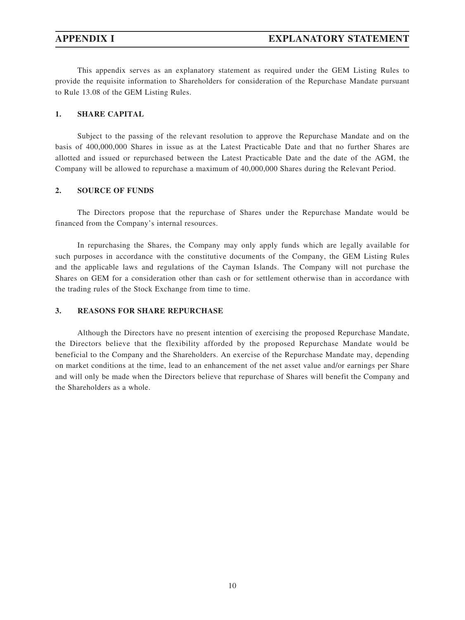This appendix serves as an explanatory statement as required under the GEM Listing Rules to provide the requisite information to Shareholders for consideration of the Repurchase Mandate pursuant to Rule 13.08 of the GEM Listing Rules.

#### **1. SHARE CAPITAL**

Subject to the passing of the relevant resolution to approve the Repurchase Mandate and on the basis of 400,000,000 Shares in issue as at the Latest Practicable Date and that no further Shares are allotted and issued or repurchased between the Latest Practicable Date and the date of the AGM, the Company will be allowed to repurchase a maximum of 40,000,000 Shares during the Relevant Period.

#### **2. SOURCE OF FUNDS**

The Directors propose that the repurchase of Shares under the Repurchase Mandate would be financed from the Company's internal resources.

In repurchasing the Shares, the Company may only apply funds which are legally available for such purposes in accordance with the constitutive documents of the Company, the GEM Listing Rules and the applicable laws and regulations of the Cayman Islands. The Company will not purchase the Shares on GEM for a consideration other than cash or for settlement otherwise than in accordance with the trading rules of the Stock Exchange from time to time.

#### **3. REASONS FOR SHARE REPURCHASE**

Although the Directors have no present intention of exercising the proposed Repurchase Mandate, the Directors believe that the flexibility afforded by the proposed Repurchase Mandate would be beneficial to the Company and the Shareholders. An exercise of the Repurchase Mandate may, depending on market conditions at the time, lead to an enhancement of the net asset value and/or earnings per Share and will only be made when the Directors believe that repurchase of Shares will benefit the Company and the Shareholders as a whole.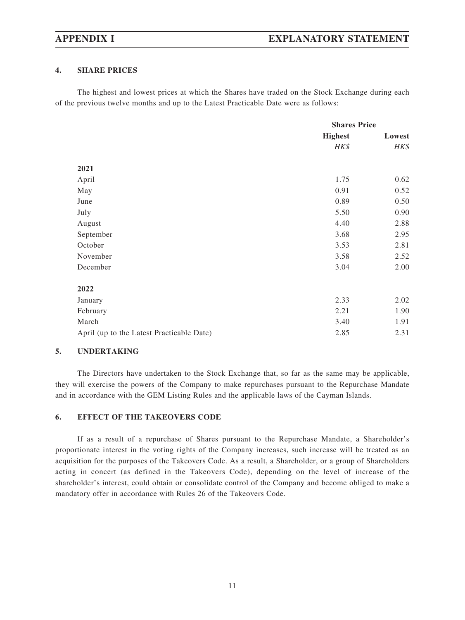#### **4. SHARE PRICES**

The highest and lowest prices at which the Shares have traded on the Stock Exchange during each of the previous twelve months and up to the Latest Practicable Date were as follows:

|                                           | <b>Shares Price</b> |        |
|-------------------------------------------|---------------------|--------|
|                                           | <b>Highest</b>      | Lowest |
|                                           | HK\$                | HK\$   |
| 2021                                      |                     |        |
| April                                     | 1.75                | 0.62   |
| May                                       | 0.91                | 0.52   |
| June                                      | 0.89                | 0.50   |
| July                                      | 5.50                | 0.90   |
| August                                    | 4.40                | 2.88   |
| September                                 | 3.68                | 2.95   |
| October                                   | 3.53                | 2.81   |
| November                                  | 3.58                | 2.52   |
| December                                  | 3.04                | 2.00   |
| 2022                                      |                     |        |
| January                                   | 2.33                | 2.02   |
| February                                  | 2.21                | 1.90   |
| March                                     | 3.40                | 1.91   |
| April (up to the Latest Practicable Date) | 2.85                | 2.31   |

#### **5. UNDERTAKING**

The Directors have undertaken to the Stock Exchange that, so far as the same may be applicable, they will exercise the powers of the Company to make repurchases pursuant to the Repurchase Mandate and in accordance with the GEM Listing Rules and the applicable laws of the Cayman Islands.

#### **6. EFFECT OF THE TAKEOVERS CODE**

If as a result of a repurchase of Shares pursuant to the Repurchase Mandate, a Shareholder's proportionate interest in the voting rights of the Company increases, such increase will be treated as an acquisition for the purposes of the Takeovers Code. As a result, a Shareholder, or a group of Shareholders acting in concert (as defined in the Takeovers Code), depending on the level of increase of the shareholder's interest, could obtain or consolidate control of the Company and become obliged to make a mandatory offer in accordance with Rules 26 of the Takeovers Code.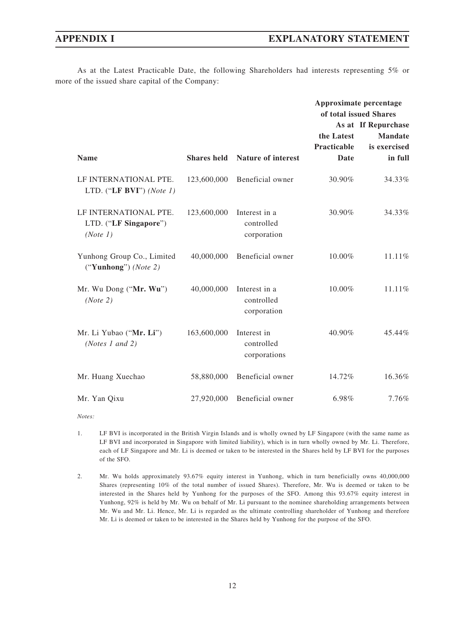As at the Latest Practicable Date, the following Shareholders had interests representing 5% or more of the issued share capital of the Company:

|                                                            |                    |                                            | Approximate percentage |                     |
|------------------------------------------------------------|--------------------|--------------------------------------------|------------------------|---------------------|
|                                                            |                    |                                            | of total issued Shares |                     |
|                                                            |                    |                                            |                        | As at If Repurchase |
|                                                            |                    |                                            | the Latest             | <b>Mandate</b>      |
|                                                            |                    |                                            | <b>Practicable</b>     | is exercised        |
| <b>Name</b>                                                | <b>Shares held</b> | <b>Nature of interest</b>                  | Date                   | in full             |
| LF INTERNATIONAL PTE.<br>LTD. ("LF BVI") (Note 1)          | 123,600,000        | Beneficial owner                           | 30.90%                 | 34.33%              |
| LF INTERNATIONAL PTE.<br>LTD. ("LF Singapore")<br>(Note 1) | 123,600,000        | Interest in a<br>controlled<br>corporation | 30.90%                 | 34.33%              |
| Yunhong Group Co., Limited<br>("Yunhong") (Note 2)         | 40,000,000         | Beneficial owner                           | 10.00%                 | 11.11%              |
| Mr. Wu Dong ("Mr. Wu")<br>(Note 2)                         | 40,000,000         | Interest in a<br>controlled<br>corporation | $10.00\%$              | 11.11%              |
| Mr. Li Yubao ("Mr. Li")<br>(Notes 1 and 2)                 | 163,600,000        | Interest in<br>controlled<br>corporations  | 40.90%                 | 45.44%              |
| Mr. Huang Xuechao                                          | 58,880,000         | Beneficial owner                           | 14.72%                 | 16.36%              |
| Mr. Yan Qixu                                               | 27,920,000         | Beneficial owner                           | 6.98%                  | 7.76%               |

*Notes:*

- 1. LF BVI is incorporated in the British Virgin Islands and is wholly owned by LF Singapore (with the same name as LF BVI and incorporated in Singapore with limited liability), which is in turn wholly owned by Mr. Li. Therefore, each of LF Singapore and Mr. Li is deemed or taken to be interested in the Shares held by LF BVI for the purposes of the SFO.
- 2. Mr. Wu holds approximately 93.67% equity interest in Yunhong, which in turn beneficially owns 40,000,000 Shares (representing 10% of the total number of issued Shares). Therefore, Mr. Wu is deemed or taken to be interested in the Shares held by Yunhong for the purposes of the SFO. Among this 93.67% equity interest in Yunhong, 92% is held by Mr. Wu on behalf of Mr. Li pursuant to the nominee shareholding arrangements between Mr. Wu and Mr. Li. Hence, Mr. Li is regarded as the ultimate controlling shareholder of Yunhong and therefore Mr. Li is deemed or taken to be interested in the Shares held by Yunhong for the purpose of the SFO.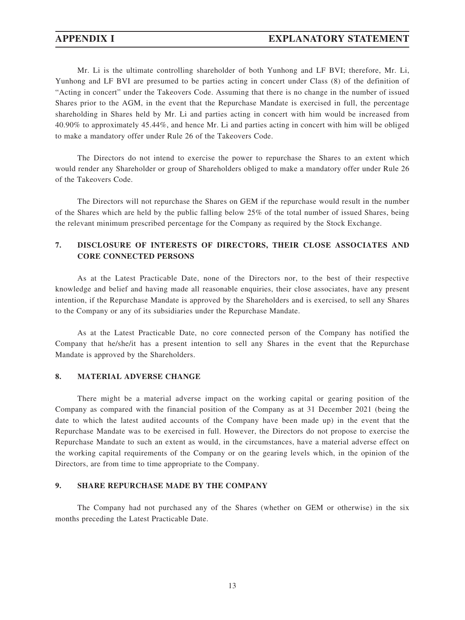Mr. Li is the ultimate controlling shareholder of both Yunhong and LF BVI; therefore, Mr. Li, Yunhong and LF BVI are presumed to be parties acting in concert under Class (8) of the definition of "Acting in concert" under the Takeovers Code. Assuming that there is no change in the number of issued Shares prior to the AGM, in the event that the Repurchase Mandate is exercised in full, the percentage shareholding in Shares held by Mr. Li and parties acting in concert with him would be increased from 40.90% to approximately 45.44%, and hence Mr. Li and parties acting in concert with him will be obliged to make a mandatory offer under Rule 26 of the Takeovers Code.

The Directors do not intend to exercise the power to repurchase the Shares to an extent which would render any Shareholder or group of Shareholders obliged to make a mandatory offer under Rule 26 of the Takeovers Code.

The Directors will not repurchase the Shares on GEM if the repurchase would result in the number of the Shares which are held by the public falling below 25% of the total number of issued Shares, being the relevant minimum prescribed percentage for the Company as required by the Stock Exchange.

### **7. DISCLOSURE OF INTERESTS OF DIRECTORS, THEIR CLOSE ASSOCIATES AND CORE CONNECTED PERSONS**

As at the Latest Practicable Date, none of the Directors nor, to the best of their respective knowledge and belief and having made all reasonable enquiries, their close associates, have any present intention, if the Repurchase Mandate is approved by the Shareholders and is exercised, to sell any Shares to the Company or any of its subsidiaries under the Repurchase Mandate.

As at the Latest Practicable Date, no core connected person of the Company has notified the Company that he/she/it has a present intention to sell any Shares in the event that the Repurchase Mandate is approved by the Shareholders.

#### **8. MATERIAL ADVERSE CHANGE**

There might be a material adverse impact on the working capital or gearing position of the Company as compared with the financial position of the Company as at 31 December 2021 (being the date to which the latest audited accounts of the Company have been made up) in the event that the Repurchase Mandate was to be exercised in full. However, the Directors do not propose to exercise the Repurchase Mandate to such an extent as would, in the circumstances, have a material adverse effect on the working capital requirements of the Company or on the gearing levels which, in the opinion of the Directors, are from time to time appropriate to the Company.

#### **9. SHARE REPURCHASE MADE BY THE COMPANY**

The Company had not purchased any of the Shares (whether on GEM or otherwise) in the six months preceding the Latest Practicable Date.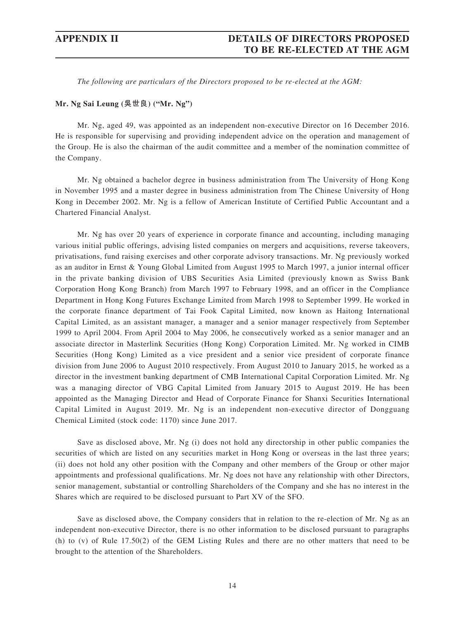*The following are particulars of the Directors proposed to be re-elected at the AGM:*

#### **Mr. Ng Sai Leung (吳世良) ("Mr. Ng")**

Mr. Ng, aged 49, was appointed as an independent non-executive Director on 16 December 2016. He is responsible for supervising and providing independent advice on the operation and management of the Group. He is also the chairman of the audit committee and a member of the nomination committee of the Company.

Mr. Ng obtained a bachelor degree in business administration from The University of Hong Kong in November 1995 and a master degree in business administration from The Chinese University of Hong Kong in December 2002. Mr. Ng is a fellow of American Institute of Certified Public Accountant and a Chartered Financial Analyst.

Mr. Ng has over 20 years of experience in corporate finance and accounting, including managing various initial public offerings, advising listed companies on mergers and acquisitions, reverse takeovers, privatisations, fund raising exercises and other corporate advisory transactions. Mr. Ng previously worked as an auditor in Ernst & Young Global Limited from August 1995 to March 1997, a junior internal officer in the private banking division of UBS Securities Asia Limited (previously known as Swiss Bank Corporation Hong Kong Branch) from March 1997 to February 1998, and an officer in the Compliance Department in Hong Kong Futures Exchange Limited from March 1998 to September 1999. He worked in the corporate finance department of Tai Fook Capital Limited, now known as Haitong International Capital Limited, as an assistant manager, a manager and a senior manager respectively from September 1999 to April 2004. From April 2004 to May 2006, he consecutively worked as a senior manager and an associate director in Masterlink Securities (Hong Kong) Corporation Limited. Mr. Ng worked in CIMB Securities (Hong Kong) Limited as a vice president and a senior vice president of corporate finance division from June 2006 to August 2010 respectively. From August 2010 to January 2015, he worked as a director in the investment banking department of CMB International Capital Corporation Limited. Mr. Ng was a managing director of VBG Capital Limited from January 2015 to August 2019. He has been appointed as the Managing Director and Head of Corporate Finance for Shanxi Securities International Capital Limited in August 2019. Mr. Ng is an independent non-executive director of Dongguang Chemical Limited (stock code: 1170) since June 2017.

Save as disclosed above, Mr. Ng (i) does not hold any directorship in other public companies the securities of which are listed on any securities market in Hong Kong or overseas in the last three years; (ii) does not hold any other position with the Company and other members of the Group or other major appointments and professional qualifications. Mr. Ng does not have any relationship with other Directors, senior management, substantial or controlling Shareholders of the Company and she has no interest in the Shares which are required to be disclosed pursuant to Part XV of the SFO.

Save as disclosed above, the Company considers that in relation to the re-election of Mr. Ng as an independent non-executive Director, there is no other information to be disclosed pursuant to paragraphs (h) to (v) of Rule 17.50(2) of the GEM Listing Rules and there are no other matters that need to be brought to the attention of the Shareholders.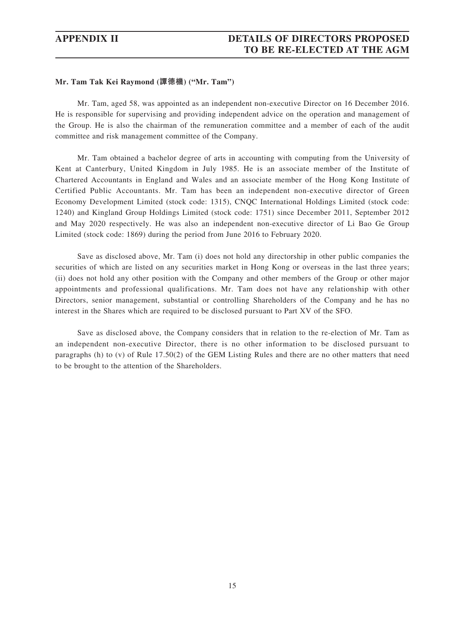#### **Mr. Tam Tak Kei Raymond (譚德機) ("Mr. Tam")**

Mr. Tam, aged 58, was appointed as an independent non-executive Director on 16 December 2016. He is responsible for supervising and providing independent advice on the operation and management of the Group. He is also the chairman of the remuneration committee and a member of each of the audit committee and risk management committee of the Company.

Mr. Tam obtained a bachelor degree of arts in accounting with computing from the University of Kent at Canterbury, United Kingdom in July 1985. He is an associate member of the Institute of Chartered Accountants in England and Wales and an associate member of the Hong Kong Institute of Certified Public Accountants. Mr. Tam has been an independent non-executive director of Green Economy Development Limited (stock code: 1315), CNQC International Holdings Limited (stock code: 1240) and Kingland Group Holdings Limited (stock code: 1751) since December 2011, September 2012 and May 2020 respectively. He was also an independent non-executive director of Li Bao Ge Group Limited (stock code: 1869) during the period from June 2016 to February 2020.

Save as disclosed above, Mr. Tam (i) does not hold any directorship in other public companies the securities of which are listed on any securities market in Hong Kong or overseas in the last three years; (ii) does not hold any other position with the Company and other members of the Group or other major appointments and professional qualifications. Mr. Tam does not have any relationship with other Directors, senior management, substantial or controlling Shareholders of the Company and he has no interest in the Shares which are required to be disclosed pursuant to Part XV of the SFO.

Save as disclosed above, the Company considers that in relation to the re-election of Mr. Tam as an independent non-executive Director, there is no other information to be disclosed pursuant to paragraphs (h) to (v) of Rule 17.50(2) of the GEM Listing Rules and there are no other matters that need to be brought to the attention of the Shareholders.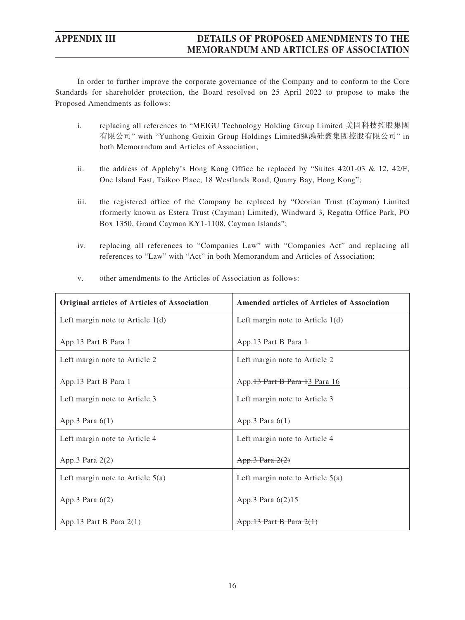In order to further improve the corporate governance of the Company and to conform to the Core Standards for shareholder protection, the Board resolved on 25 April 2022 to propose to make the Proposed Amendments as follows:

- i. replacing all references to "MEIGU Technology Holding Group Limited 美固科技控股集團 有限公司" with "Yunhong Guixin Group Holdings Limited運鴻硅鑫集團控股有限公司" in both Memorandum and Articles of Association;
- ii. the address of Appleby's Hong Kong Office be replaced by "Suites 4201-03 & 12, 42/F, One Island East, Taikoo Place, 18 Westlands Road, Quarry Bay, Hong Kong";
- iii. the registered office of the Company be replaced by "Ocorian Trust (Cayman) Limited (formerly known as Estera Trust (Cayman) Limited), Windward 3, Regatta Office Park, PO Box 1350, Grand Cayman KY1-1108, Cayman Islands";
- iv. replacing all references to "Companies Law" with "Companies Act" and replacing all references to "Law" with "Act" in both Memorandum and Articles of Association;

| <b>Original articles of Articles of Association</b> | <b>Amended articles of Articles of Association</b> |
|-----------------------------------------------------|----------------------------------------------------|
| Left margin note to Article $1(d)$                  | Left margin note to Article $1(d)$                 |
| App.13 Part B Para 1                                | App.13 Part B Para 1                               |
| Left margin note to Article 2                       | Left margin note to Article 2                      |
| App.13 Part B Para 1                                | App. 13 Part B Para 13 Para 16                     |
| Left margin note to Article 3                       | Left margin note to Article 3                      |
| App.3 Para $6(1)$                                   | App.3 Para $6(1)$                                  |
| Left margin note to Article 4                       | Left margin note to Article 4                      |
| App.3 Para $2(2)$                                   | App.3 Para $2(2)$                                  |
| Left margin note to Article $5(a)$                  | Left margin note to Article $5(a)$                 |
| App.3 Para $6(2)$                                   | App.3 Para $6(2)15$                                |
| App.13 Part B Para $2(1)$                           | App.13 Part B Para $2(1)$                          |

v. other amendments to the Articles of Association as follows: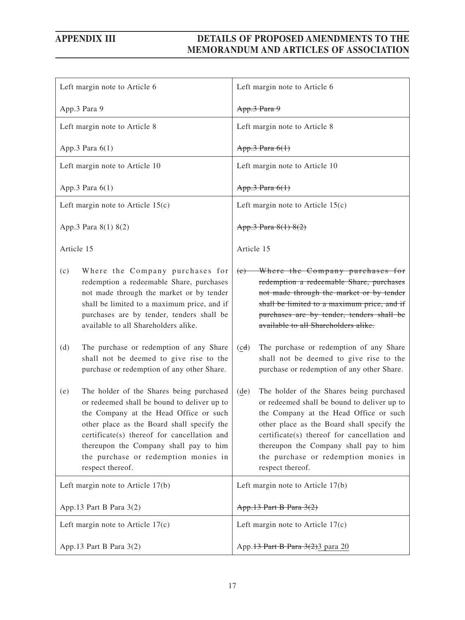| Left margin note to Article 6                                                                                                                                                                                                                                                                                                               | Left margin note to Article 6                                                                                                                                                                                                                                                                                                                              |
|---------------------------------------------------------------------------------------------------------------------------------------------------------------------------------------------------------------------------------------------------------------------------------------------------------------------------------------------|------------------------------------------------------------------------------------------------------------------------------------------------------------------------------------------------------------------------------------------------------------------------------------------------------------------------------------------------------------|
| App.3 Para 9                                                                                                                                                                                                                                                                                                                                | App.3 Para 9                                                                                                                                                                                                                                                                                                                                               |
| Left margin note to Article 8                                                                                                                                                                                                                                                                                                               | Left margin note to Article 8                                                                                                                                                                                                                                                                                                                              |
| App.3 Para $6(1)$                                                                                                                                                                                                                                                                                                                           | App.3 Para $6(1)$                                                                                                                                                                                                                                                                                                                                          |
| Left margin note to Article 10                                                                                                                                                                                                                                                                                                              | Left margin note to Article 10                                                                                                                                                                                                                                                                                                                             |
| App.3 Para 6(1)                                                                                                                                                                                                                                                                                                                             | App.3 Para $6(1)$                                                                                                                                                                                                                                                                                                                                          |
| Left margin note to Article $15(c)$                                                                                                                                                                                                                                                                                                         | Left margin note to Article $15(c)$                                                                                                                                                                                                                                                                                                                        |
| App.3 Para 8(1) 8(2)                                                                                                                                                                                                                                                                                                                        | App.3 Para 8(1) 8(2)                                                                                                                                                                                                                                                                                                                                       |
| Article 15                                                                                                                                                                                                                                                                                                                                  | Article 15                                                                                                                                                                                                                                                                                                                                                 |
| Where the Company purchases for<br>(c)<br>redemption a redeemable Share, purchases<br>not made through the market or by tender<br>shall be limited to a maximum price, and if<br>purchases are by tender, tenders shall be<br>available to all Shareholders alike.                                                                          | Where the Company purchases for<br>(e)<br>redemption a redeemable Share, purchases<br>not made through the market or by tender<br>shall be limited to a maximum price, and if<br>purchases are by tender, tenders shall be<br>available to all Shareholders alike.                                                                                         |
| The purchase or redemption of any Share<br>(d)<br>shall not be deemed to give rise to the<br>purchase or redemption of any other Share.                                                                                                                                                                                                     | The purchase or redemption of any Share<br>(cd)<br>shall not be deemed to give rise to the<br>purchase or redemption of any other Share.                                                                                                                                                                                                                   |
| The holder of the Shares being purchased<br>(e)<br>or redeemed shall be bound to deliver up to<br>the Company at the Head Office or such<br>other place as the Board shall specify the<br>certificate(s) thereof for cancellation and<br>thereupon the Company shall pay to him<br>the purchase or redemption monies in<br>respect thereof. | The holder of the Shares being purchased<br>$(\underline{de})$<br>or redeemed shall be bound to deliver up to<br>the Company at the Head Office or such<br>other place as the Board shall specify the<br>certificate(s) thereof for cancellation and<br>thereupon the Company shall pay to him<br>the purchase or redemption monies in<br>respect thereof. |
| Left margin note to Article 17(b)                                                                                                                                                                                                                                                                                                           | Left margin note to Article 17(b)                                                                                                                                                                                                                                                                                                                          |
| App.13 Part B Para 3(2)                                                                                                                                                                                                                                                                                                                     | App.13 Part B Para $3(2)$                                                                                                                                                                                                                                                                                                                                  |
| Left margin note to Article $17(c)$                                                                                                                                                                                                                                                                                                         | Left margin note to Article $17(c)$                                                                                                                                                                                                                                                                                                                        |
| App.13 Part B Para 3(2)                                                                                                                                                                                                                                                                                                                     | App. 13 Part B Para 3(2) 3 para 20                                                                                                                                                                                                                                                                                                                         |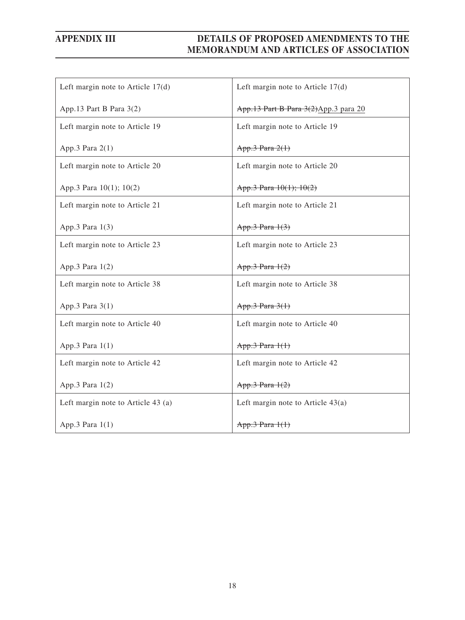| Left margin note to Article $17(d)$ | Left margin note to Article $17(d)$  |
|-------------------------------------|--------------------------------------|
| App.13 Part B Para 3(2)             | App.13 Part B Para 3(2)App.3 para 20 |
| Left margin note to Article 19      | Left margin note to Article 19       |
| App.3 Para 2(1)                     | App.3 Para $2(1)$                    |
| Left margin note to Article 20      | Left margin note to Article 20       |
| App.3 Para 10(1); 10(2)             | App.3 Para $10(1)$ ; $10(2)$         |
| Left margin note to Article 21      | Left margin note to Article 21       |
| App.3 Para 1(3)                     | App.3 Para 1(3)                      |
| Left margin note to Article 23      | Left margin note to Article 23       |
| App.3 Para $1(2)$                   | App.3 Para $1(2)$                    |
| Left margin note to Article 38      | Left margin note to Article 38       |
| App.3 Para $3(1)$                   | App.3 Para $3(1)$                    |
| Left margin note to Article 40      | Left margin note to Article 40       |
| App.3 Para 1(1)                     | App.3 Para 1(1)                      |
| Left margin note to Article 42      | Left margin note to Article 42       |
| App.3 Para 1(2)                     | App.3 Para $1(2)$                    |
| Left margin note to Article 43 (a)  | Left margin note to Article $43(a)$  |
| App.3 Para $1(1)$                   | $App.3$ Para $1(1)$                  |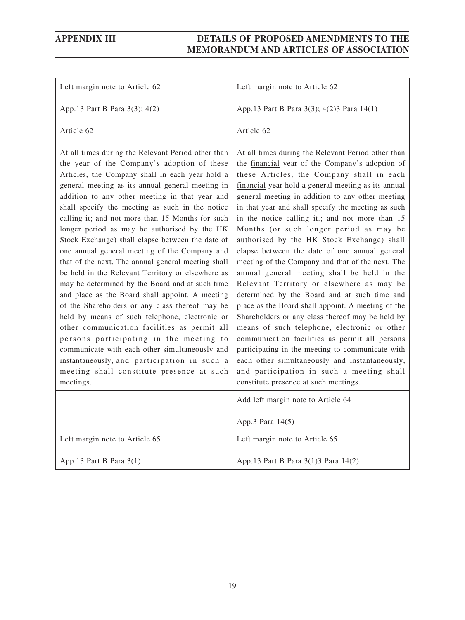Left margin note to Article 62

App.13 Part B Para 3(3); 4(2)

Article 62

At all times during the Relevant Period other than the year of the Company's adoption of these Articles, the Company shall in each year hold a general meeting as its annual general meeting in addition to any other meeting in that year and shall specify the meeting as such in the notice calling it; and not more than 15 Months (or such longer period as may be authorised by the HK Stock Exchange) shall elapse between the date of one annual general meeting of the Company and that of the next. The annual general meeting shall be held in the Relevant Territory or elsewhere as may be determined by the Board and at such time and place as the Board shall appoint. A meeting of the Shareholders or any class thereof may be held by means of such telephone, electronic or other communication facilities as permit all persons participating in the meeting to communicate with each other simultaneously and instantaneously, and participation in such a meeting shall constitute presence at such meetings.

Left margin note to Article 62

App.13 Part B Para 3(3); 4(2)3 Para 14(1)

#### Article 62

At all times during the Relevant Period other than the financial year of the Company's adoption of these Articles, the Company shall in each financial year hold a general meeting as its annual general meeting in addition to any other meeting in that year and shall specify the meeting as such in the notice calling it.; and not more than  $15$ Months (or such longer period as may be authorised by the HK Stock Exchange) shall elapse between the date of one annual general meeting of the Company and that of the next. The annual general meeting shall be held in the Relevant Territory or elsewhere as may be determined by the Board and at such time and place as the Board shall appoint. A meeting of the Shareholders or any class thereof may be held by means of such telephone, electronic or other communication facilities as permit all persons participating in the meeting to communicate with each other simultaneously and instantaneously, and participation in such a meeting shall constitute presence at such meetings.

|                                | Add left margin note to Article 64    |
|--------------------------------|---------------------------------------|
|                                | App.3 Para 14(5)                      |
| Left margin note to Article 65 | Left margin note to Article 65        |
| App.13 Part B Para $3(1)$      | App. 13 Part B Para 3(1) 3 Para 14(2) |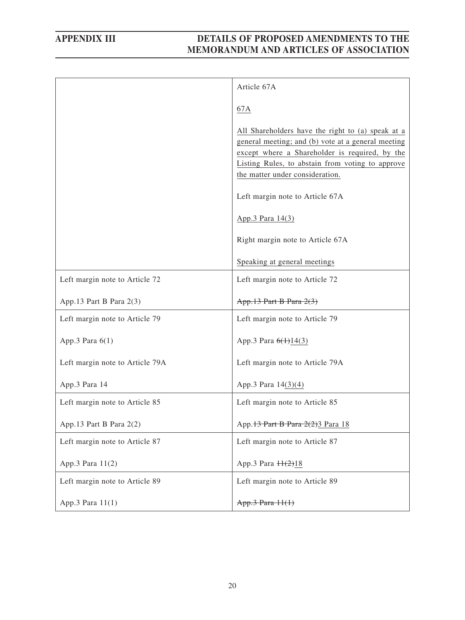|                                 | Article 67A                                                                                                                                                                                                                                      |
|---------------------------------|--------------------------------------------------------------------------------------------------------------------------------------------------------------------------------------------------------------------------------------------------|
|                                 | 67A                                                                                                                                                                                                                                              |
|                                 | All Shareholders have the right to (a) speak at a<br>general meeting; and (b) vote at a general meeting<br>except where a Shareholder is required, by the<br>Listing Rules, to abstain from voting to approve<br>the matter under consideration. |
|                                 | Left margin note to Article 67A                                                                                                                                                                                                                  |
|                                 | App.3 Para 14(3)                                                                                                                                                                                                                                 |
|                                 | Right margin note to Article 67A                                                                                                                                                                                                                 |
|                                 | Speaking at general meetings                                                                                                                                                                                                                     |
| Left margin note to Article 72  | Left margin note to Article 72                                                                                                                                                                                                                   |
| App.13 Part B Para 2(3)         | App.13 Part B Para 2(3)                                                                                                                                                                                                                          |
| Left margin note to Article 79  | Left margin note to Article 79                                                                                                                                                                                                                   |
| App.3 Para 6(1)                 | App.3 Para 6(1)14(3)                                                                                                                                                                                                                             |
| Left margin note to Article 79A | Left margin note to Article 79A                                                                                                                                                                                                                  |
| App.3 Para 14                   | App.3 Para 14(3)(4)                                                                                                                                                                                                                              |
| Left margin note to Article 85  | Left margin note to Article 85                                                                                                                                                                                                                   |
| App.13 Part B Para 2(2)         | App. 13 Part B Para 2(2) 3 Para 18                                                                                                                                                                                                               |
| Left margin note to Article 87  | Left margin note to Article 87                                                                                                                                                                                                                   |
| App.3 Para 11(2)                | App.3 Para $H(2)18$                                                                                                                                                                                                                              |
| Left margin note to Article 89  | Left margin note to Article 89                                                                                                                                                                                                                   |
| App.3 Para 11(1)                | App.3 Para 11(1)                                                                                                                                                                                                                                 |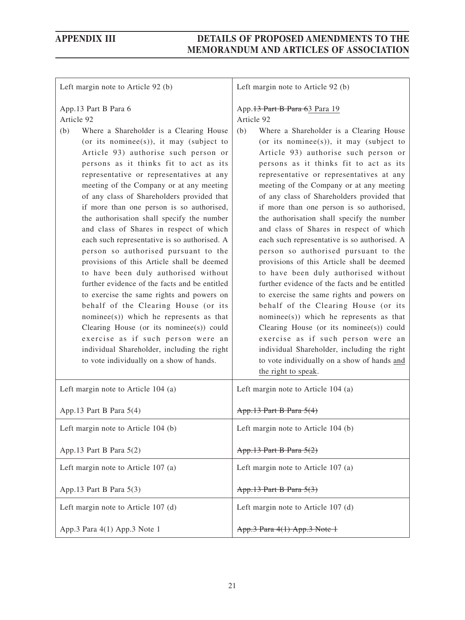| Left margin note to Article 92 (b)                                                                                                                                                                                                                                                                                                                                                                                                                                                                                                                                                                                                                                                                                                                                                                                                                                                                                                                                                                                                        | Left margin note to Article 92 (b)                                                                                                                                                                                                                                                                                                                                                                                                                                                                                                                                                                                                                                                                                                                                                                                                                                                                                                                                                                                                                                            |
|-------------------------------------------------------------------------------------------------------------------------------------------------------------------------------------------------------------------------------------------------------------------------------------------------------------------------------------------------------------------------------------------------------------------------------------------------------------------------------------------------------------------------------------------------------------------------------------------------------------------------------------------------------------------------------------------------------------------------------------------------------------------------------------------------------------------------------------------------------------------------------------------------------------------------------------------------------------------------------------------------------------------------------------------|-------------------------------------------------------------------------------------------------------------------------------------------------------------------------------------------------------------------------------------------------------------------------------------------------------------------------------------------------------------------------------------------------------------------------------------------------------------------------------------------------------------------------------------------------------------------------------------------------------------------------------------------------------------------------------------------------------------------------------------------------------------------------------------------------------------------------------------------------------------------------------------------------------------------------------------------------------------------------------------------------------------------------------------------------------------------------------|
| App.13 Part B Para 6<br>Article 92<br>(b)<br>Where a Shareholder is a Clearing House<br>(or its nominee(s)), it may (subject to<br>Article 93) authorise such person or<br>persons as it thinks fit to act as its<br>representative or representatives at any<br>meeting of the Company or at any meeting<br>of any class of Shareholders provided that<br>if more than one person is so authorised,<br>the authorisation shall specify the number<br>and class of Shares in respect of which<br>each such representative is so authorised. A<br>person so authorised pursuant to the<br>provisions of this Article shall be deemed<br>to have been duly authorised without<br>further evidence of the facts and be entitled<br>to exercise the same rights and powers on<br>behalf of the Clearing House (or its<br>nominee(s)) which he represents as that<br>Clearing House (or its nominee(s)) could<br>exercise as if such person were an<br>individual Shareholder, including the right<br>to vote individually on a show of hands. | App. 13 Part B Para 63 Para 19<br>Article 92<br>(b)<br>Where a Shareholder is a Clearing House<br>(or its nominee(s)), it may (subject to<br>Article 93) authorise such person or<br>persons as it thinks fit to act as its<br>representative or representatives at any<br>meeting of the Company or at any meeting<br>of any class of Shareholders provided that<br>if more than one person is so authorised,<br>the authorisation shall specify the number<br>and class of Shares in respect of which<br>each such representative is so authorised. A<br>person so authorised pursuant to the<br>provisions of this Article shall be deemed<br>to have been duly authorised without<br>further evidence of the facts and be entitled<br>to exercise the same rights and powers on<br>behalf of the Clearing House (or its<br>nominee(s)) which he represents as that<br>Clearing House (or its nominee(s)) could<br>exercise as if such person were an<br>individual Shareholder, including the right<br>to vote individually on a show of hands and<br>the right to speak. |
| Left margin note to Article 104 (a)                                                                                                                                                                                                                                                                                                                                                                                                                                                                                                                                                                                                                                                                                                                                                                                                                                                                                                                                                                                                       | Left margin note to Article 104 (a)                                                                                                                                                                                                                                                                                                                                                                                                                                                                                                                                                                                                                                                                                                                                                                                                                                                                                                                                                                                                                                           |
| App.13 Part B Para 5(4)                                                                                                                                                                                                                                                                                                                                                                                                                                                                                                                                                                                                                                                                                                                                                                                                                                                                                                                                                                                                                   | App.13 Part B Para 5(4)                                                                                                                                                                                                                                                                                                                                                                                                                                                                                                                                                                                                                                                                                                                                                                                                                                                                                                                                                                                                                                                       |
| Left margin note to Article 104 (b)                                                                                                                                                                                                                                                                                                                                                                                                                                                                                                                                                                                                                                                                                                                                                                                                                                                                                                                                                                                                       | Left margin note to Article 104 (b)                                                                                                                                                                                                                                                                                                                                                                                                                                                                                                                                                                                                                                                                                                                                                                                                                                                                                                                                                                                                                                           |
| App.13 Part B Para $5(2)$                                                                                                                                                                                                                                                                                                                                                                                                                                                                                                                                                                                                                                                                                                                                                                                                                                                                                                                                                                                                                 | App.13 Part B Para 5(2)                                                                                                                                                                                                                                                                                                                                                                                                                                                                                                                                                                                                                                                                                                                                                                                                                                                                                                                                                                                                                                                       |
| Left margin note to Article 107 (a)                                                                                                                                                                                                                                                                                                                                                                                                                                                                                                                                                                                                                                                                                                                                                                                                                                                                                                                                                                                                       | Left margin note to Article 107 (a)                                                                                                                                                                                                                                                                                                                                                                                                                                                                                                                                                                                                                                                                                                                                                                                                                                                                                                                                                                                                                                           |
| App.13 Part B Para 5(3)                                                                                                                                                                                                                                                                                                                                                                                                                                                                                                                                                                                                                                                                                                                                                                                                                                                                                                                                                                                                                   | App.13 Part B Para 5(3)                                                                                                                                                                                                                                                                                                                                                                                                                                                                                                                                                                                                                                                                                                                                                                                                                                                                                                                                                                                                                                                       |
| Left margin note to Article 107 (d)                                                                                                                                                                                                                                                                                                                                                                                                                                                                                                                                                                                                                                                                                                                                                                                                                                                                                                                                                                                                       | Left margin note to Article 107 (d)                                                                                                                                                                                                                                                                                                                                                                                                                                                                                                                                                                                                                                                                                                                                                                                                                                                                                                                                                                                                                                           |
| App.3 Para 4(1) App.3 Note 1                                                                                                                                                                                                                                                                                                                                                                                                                                                                                                                                                                                                                                                                                                                                                                                                                                                                                                                                                                                                              | App.3 Para 4(1) App.3 Note 1                                                                                                                                                                                                                                                                                                                                                                                                                                                                                                                                                                                                                                                                                                                                                                                                                                                                                                                                                                                                                                                  |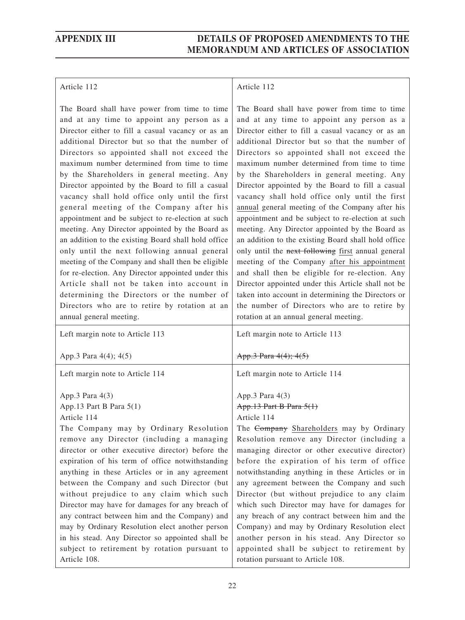#### Article 112

The Board shall have power from time to time and at any time to appoint any person as a Director either to fill a casual vacancy or as an additional Director but so that the number of Directors so appointed shall not exceed the maximum number determined from time to time by the Shareholders in general meeting. Any Director appointed by the Board to fill a casual vacancy shall hold office only until the first general meeting of the Company after his appointment and be subject to re-election at such meeting. Any Director appointed by the Board as an addition to the existing Board shall hold office only until the next following annual general meeting of the Company and shall then be eligible for re-election. Any Director appointed under this Article shall not be taken into account in determining the Directors or the number of Directors who are to retire by rotation at an annual general meeting.

### Article 112

The Board shall have power from time to time and at any time to appoint any person as a Director either to fill a casual vacancy or as an additional Director but so that the number of Directors so appointed shall not exceed the maximum number determined from time to time by the Shareholders in general meeting. Any Director appointed by the Board to fill a casual vacancy shall hold office only until the first annual general meeting of the Company after his appointment and be subject to re-election at such meeting. Any Director appointed by the Board as an addition to the existing Board shall hold office only until the next following first annual general meeting of the Company after his appointment and shall then be eligible for re-election. Any Director appointed under this Article shall not be taken into account in determining the Directors or the number of Directors who are to retire by rotation at an annual general meeting.

| Left margin note to Article 113                  | Left margin note to Article 113                  |
|--------------------------------------------------|--------------------------------------------------|
| App.3 Para 4(4); 4(5)                            | App.3 Para 4(4); 4(5)                            |
| Left margin note to Article 114                  | Left margin note to Article 114                  |
| App.3 Para $4(3)$                                | App.3 Para 4(3)                                  |
| App.13 Part B Para $5(1)$                        | App.13 Part B Para 5(1)                          |
| Article 114                                      | Article 114                                      |
| The Company may by Ordinary Resolution           | The Company Shareholders may by Ordinary         |
| remove any Director (including a managing        | Resolution remove any Director (including a      |
| director or other executive director) before the | managing director or other executive director)   |
| expiration of his term of office notwithstanding | before the expiration of his term of office      |
| anything in these Articles or in any agreement   | notwithstanding anything in these Articles or in |
| between the Company and such Director (but       | any agreement between the Company and such       |
| without prejudice to any claim which such        | Director (but without prejudice to any claim     |
| Director may have for damages for any breach of  | which such Director may have for damages for     |
| any contract between him and the Company) and    | any breach of any contract between him and the   |
| may by Ordinary Resolution elect another person  | Company) and may by Ordinary Resolution elect    |
| in his stead. Any Director so appointed shall be | another person in his stead. Any Director so     |
| subject to retirement by rotation pursuant to    | appointed shall be subject to retirement by      |
| Article 108.                                     | rotation pursuant to Article 108.                |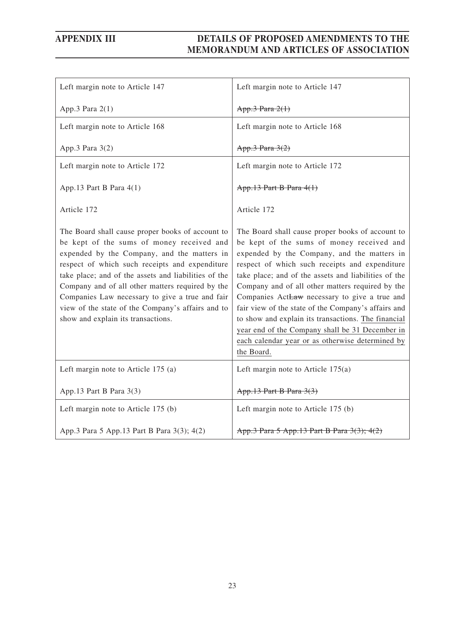| Left margin note to Article 147                                                                                                                                                                                                                                                                                                                                                                                                                          | Left margin note to Article 147                                                                                                                                                                                                                                                                                                                                                                                                                                                                                                                                                                |
|----------------------------------------------------------------------------------------------------------------------------------------------------------------------------------------------------------------------------------------------------------------------------------------------------------------------------------------------------------------------------------------------------------------------------------------------------------|------------------------------------------------------------------------------------------------------------------------------------------------------------------------------------------------------------------------------------------------------------------------------------------------------------------------------------------------------------------------------------------------------------------------------------------------------------------------------------------------------------------------------------------------------------------------------------------------|
| App.3 Para $2(1)$                                                                                                                                                                                                                                                                                                                                                                                                                                        | App.3 Para 2(1)                                                                                                                                                                                                                                                                                                                                                                                                                                                                                                                                                                                |
| Left margin note to Article 168                                                                                                                                                                                                                                                                                                                                                                                                                          | Left margin note to Article 168                                                                                                                                                                                                                                                                                                                                                                                                                                                                                                                                                                |
| App.3 Para 3(2)                                                                                                                                                                                                                                                                                                                                                                                                                                          | App.3 Para 3(2)                                                                                                                                                                                                                                                                                                                                                                                                                                                                                                                                                                                |
| Left margin note to Article 172                                                                                                                                                                                                                                                                                                                                                                                                                          | Left margin note to Article 172                                                                                                                                                                                                                                                                                                                                                                                                                                                                                                                                                                |
| App.13 Part B Para 4(1)                                                                                                                                                                                                                                                                                                                                                                                                                                  | App.13 Part B Para 4(1)                                                                                                                                                                                                                                                                                                                                                                                                                                                                                                                                                                        |
| Article 172                                                                                                                                                                                                                                                                                                                                                                                                                                              | Article 172                                                                                                                                                                                                                                                                                                                                                                                                                                                                                                                                                                                    |
| The Board shall cause proper books of account to<br>be kept of the sums of money received and<br>expended by the Company, and the matters in<br>respect of which such receipts and expenditure<br>take place; and of the assets and liabilities of the<br>Company and of all other matters required by the<br>Companies Law necessary to give a true and fair<br>view of the state of the Company's affairs and to<br>show and explain its transactions. | The Board shall cause proper books of account to<br>be kept of the sums of money received and<br>expended by the Company, and the matters in<br>respect of which such receipts and expenditure<br>take place; and of the assets and liabilities of the<br>Company and of all other matters required by the<br>Companies ActLaw necessary to give a true and<br>fair view of the state of the Company's affairs and<br>to show and explain its transactions. The financial<br>year end of the Company shall be 31 December in<br>each calendar year or as otherwise determined by<br>the Board. |
| Left margin note to Article 175 (a)                                                                                                                                                                                                                                                                                                                                                                                                                      | Left margin note to Article $175(a)$                                                                                                                                                                                                                                                                                                                                                                                                                                                                                                                                                           |
| App.13 Part B Para 3(3)                                                                                                                                                                                                                                                                                                                                                                                                                                  | App.13 Part B Para 3(3)                                                                                                                                                                                                                                                                                                                                                                                                                                                                                                                                                                        |
| Left margin note to Article 175 (b)                                                                                                                                                                                                                                                                                                                                                                                                                      | Left margin note to Article 175 (b)                                                                                                                                                                                                                                                                                                                                                                                                                                                                                                                                                            |
| App.3 Para 5 App.13 Part B Para 3(3); 4(2)                                                                                                                                                                                                                                                                                                                                                                                                               | App.3 Para 5 App.13 Part B Para 3(3); 4(2)                                                                                                                                                                                                                                                                                                                                                                                                                                                                                                                                                     |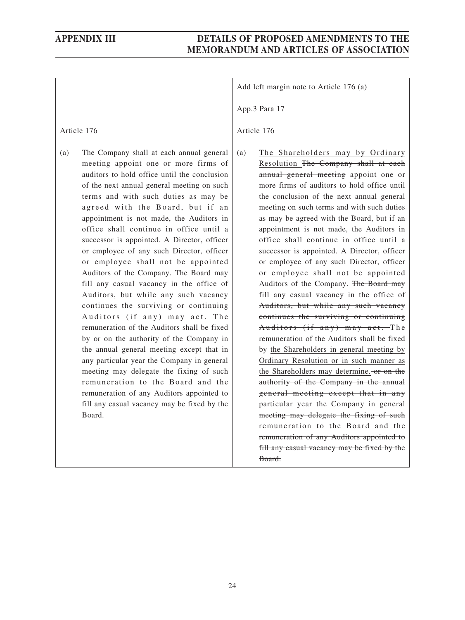remuneration to the Board and the remuneration of any Auditors appointed to fill any casual vacancy may be fixed by the

|                                                                                                                                                                                                                                                                                                                                                                                                                                                                                                                                                                                                                                                                                                                                                                                                                                                                                                                                                                                                                        | Add left margin note to Article 176 (a)                                                                                                                                                                                                                                                                                                                                                                                                                                                                                                                                                                                                                                                                                                                                                                                                                                                                                                                                                                                 |
|------------------------------------------------------------------------------------------------------------------------------------------------------------------------------------------------------------------------------------------------------------------------------------------------------------------------------------------------------------------------------------------------------------------------------------------------------------------------------------------------------------------------------------------------------------------------------------------------------------------------------------------------------------------------------------------------------------------------------------------------------------------------------------------------------------------------------------------------------------------------------------------------------------------------------------------------------------------------------------------------------------------------|-------------------------------------------------------------------------------------------------------------------------------------------------------------------------------------------------------------------------------------------------------------------------------------------------------------------------------------------------------------------------------------------------------------------------------------------------------------------------------------------------------------------------------------------------------------------------------------------------------------------------------------------------------------------------------------------------------------------------------------------------------------------------------------------------------------------------------------------------------------------------------------------------------------------------------------------------------------------------------------------------------------------------|
|                                                                                                                                                                                                                                                                                                                                                                                                                                                                                                                                                                                                                                                                                                                                                                                                                                                                                                                                                                                                                        | App.3 Para 17                                                                                                                                                                                                                                                                                                                                                                                                                                                                                                                                                                                                                                                                                                                                                                                                                                                                                                                                                                                                           |
| Article 176                                                                                                                                                                                                                                                                                                                                                                                                                                                                                                                                                                                                                                                                                                                                                                                                                                                                                                                                                                                                            | Article 176                                                                                                                                                                                                                                                                                                                                                                                                                                                                                                                                                                                                                                                                                                                                                                                                                                                                                                                                                                                                             |
| The Company shall at each annual general<br>(a)<br>meeting appoint one or more firms of<br>auditors to hold office until the conclusion<br>of the next annual general meeting on such<br>terms and with such duties as may be<br>agreed with the Board, but if an<br>appointment is not made, the Auditors in<br>office shall continue in office until a<br>successor is appointed. A Director, officer<br>or employee of any such Director, officer<br>or employee shall not be appointed<br>Auditors of the Company. The Board may<br>fill any casual vacancy in the office of<br>Auditors, but while any such vacancy<br>continues the surviving or continuing<br>Auditors (if any) may act. The<br>remuneration of the Auditors shall be fixed<br>by or on the authority of the Company in<br>the annual general meeting except that in<br>any particular year the Company in general<br>meeting may delegate the fixing of such<br>remuneration to the Board and the<br>remuneration of any Auditors appointed to | The Shareholders may by Ordinary<br>(a)<br>Resolution The Company shall at each<br>annual general meeting appoint one or<br>more firms of auditors to hold office until<br>the conclusion of the next annual general<br>meeting on such terms and with such duties<br>as may be agreed with the Board, but if an<br>appointment is not made, the Auditors in<br>office shall continue in office until a<br>successor is appointed. A Director, officer<br>or employee of any such Director, officer<br>or employee shall not be appointed<br>Auditors of the Company. The Board may<br>fill any casual vacancy in the office of<br>Auditors, but while any such vacancy<br>continues the surviving or continuing<br>Auditors (if any) may act. The<br>remuneration of the Auditors shall be fixed<br>by the Shareholders in general meeting by<br>Ordinary Resolution or in such manner as<br>the Shareholders may determine. or on the<br>authority of the Company in the annual<br>general meeting except that in any |
| fill any casual vacancy may be fixed by the<br>Board.                                                                                                                                                                                                                                                                                                                                                                                                                                                                                                                                                                                                                                                                                                                                                                                                                                                                                                                                                                  | particular year the Company in general<br>meeting may delegate the fixing of such                                                                                                                                                                                                                                                                                                                                                                                                                                                                                                                                                                                                                                                                                                                                                                                                                                                                                                                                       |

Board.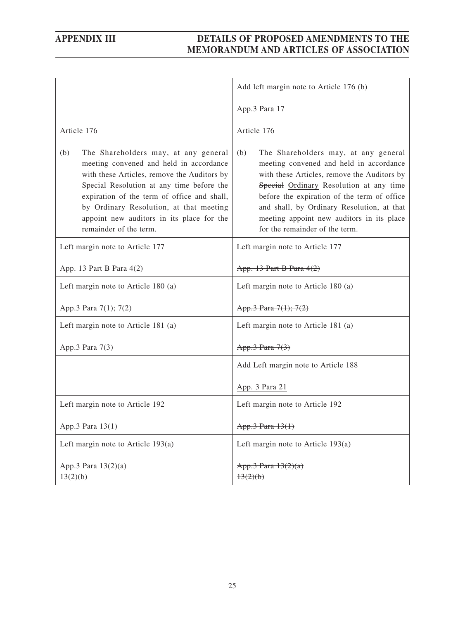|                                                                                                                                                                                                                                                                                                                                                     | Add left margin note to Article 176 (b)                                                                                                                                                                                                                                                                                                                      |
|-----------------------------------------------------------------------------------------------------------------------------------------------------------------------------------------------------------------------------------------------------------------------------------------------------------------------------------------------------|--------------------------------------------------------------------------------------------------------------------------------------------------------------------------------------------------------------------------------------------------------------------------------------------------------------------------------------------------------------|
|                                                                                                                                                                                                                                                                                                                                                     | App.3 Para 17                                                                                                                                                                                                                                                                                                                                                |
| Article 176                                                                                                                                                                                                                                                                                                                                         | Article 176                                                                                                                                                                                                                                                                                                                                                  |
| The Shareholders may, at any general<br>(b)<br>meeting convened and held in accordance<br>with these Articles, remove the Auditors by<br>Special Resolution at any time before the<br>expiration of the term of office and shall,<br>by Ordinary Resolution, at that meeting<br>appoint new auditors in its place for the<br>remainder of the term. | The Shareholders may, at any general<br>(b)<br>meeting convened and held in accordance<br>with these Articles, remove the Auditors by<br>Special Ordinary Resolution at any time<br>before the expiration of the term of office<br>and shall, by Ordinary Resolution, at that<br>meeting appoint new auditors in its place<br>for the remainder of the term. |
| Left margin note to Article 177                                                                                                                                                                                                                                                                                                                     | Left margin note to Article 177                                                                                                                                                                                                                                                                                                                              |
| App. 13 Part B Para $4(2)$                                                                                                                                                                                                                                                                                                                          | App. 13 Part B Para 4(2)                                                                                                                                                                                                                                                                                                                                     |
| Left margin note to Article 180 (a)                                                                                                                                                                                                                                                                                                                 | Left margin note to Article 180 (a)                                                                                                                                                                                                                                                                                                                          |
| App.3 Para 7(1); 7(2)                                                                                                                                                                                                                                                                                                                               | App.3 Para 7(1); 7(2)                                                                                                                                                                                                                                                                                                                                        |
| Left margin note to Article 181 (a)                                                                                                                                                                                                                                                                                                                 | Left margin note to Article 181 (a)                                                                                                                                                                                                                                                                                                                          |
| App.3 Para 7(3)                                                                                                                                                                                                                                                                                                                                     | App.3 Para 7(3)                                                                                                                                                                                                                                                                                                                                              |
|                                                                                                                                                                                                                                                                                                                                                     | Add Left margin note to Article 188                                                                                                                                                                                                                                                                                                                          |
|                                                                                                                                                                                                                                                                                                                                                     | App. 3 Para 21                                                                                                                                                                                                                                                                                                                                               |
| Left margin note to Article 192                                                                                                                                                                                                                                                                                                                     | Left margin note to Article 192                                                                                                                                                                                                                                                                                                                              |
| App.3 Para 13(1)                                                                                                                                                                                                                                                                                                                                    | App.3 Para 13(1)                                                                                                                                                                                                                                                                                                                                             |
| Left margin note to Article $193(a)$                                                                                                                                                                                                                                                                                                                | Left margin note to Article $193(a)$                                                                                                                                                                                                                                                                                                                         |
| App.3 Para 13(2)(a)<br>13(2)(b)                                                                                                                                                                                                                                                                                                                     | App.3 Para 13(2)(a)<br>13(2)(b)                                                                                                                                                                                                                                                                                                                              |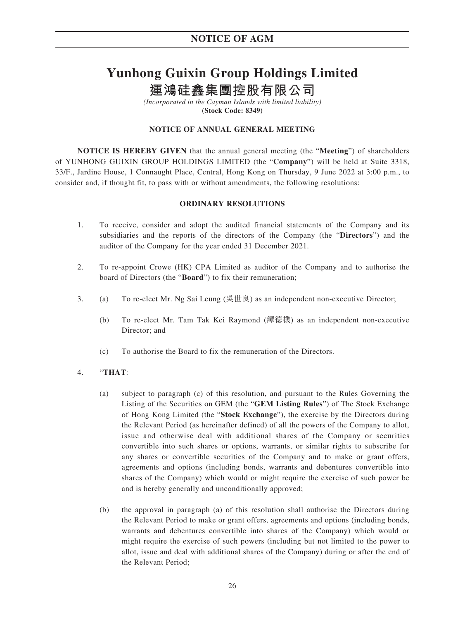# **Yunhong Guixin Group Holdings Limited**

**運鴻硅鑫集團控股有限公司**

*(Incorporated in the Cayman Islands with limited liability)* **(Stock Code: 8349)**

### **NOTICE OF ANNUAL GENERAL MEETING**

**NOTICE IS HEREBY GIVEN** that the annual general meeting (the "**Meeting**") of shareholders of YUNHONG GUIXIN GROUP HOLDINGS LIMITED (the "**Company**") will be held at Suite 3318, 33/F., Jardine House, 1 Connaught Place, Central, Hong Kong on Thursday, 9 June 2022 at 3:00 p.m., to consider and, if thought fit, to pass with or without amendments, the following resolutions:

#### **ORDINARY RESOLUTIONS**

- 1. To receive, consider and adopt the audited financial statements of the Company and its subsidiaries and the reports of the directors of the Company (the "**Directors**") and the auditor of the Company for the year ended 31 December 2021.
- 2. To re-appoint Crowe (HK) CPA Limited as auditor of the Company and to authorise the board of Directors (the "**Board**") to fix their remuneration;
- 3. (a) To re-elect Mr. Ng Sai Leung ( $\frac{\text{d}}{\text{d}} \text{d} \text{d} t$ ) as an independent non-executive Director;
	- (b) To re-elect Mr. Tam Tak Kei Raymond (譚德機) as an independent non-executive Director; and
	- (c) To authorise the Board to fix the remuneration of the Directors.

### 4. "**THAT**:

- (a) subject to paragraph (c) of this resolution, and pursuant to the Rules Governing the Listing of the Securities on GEM (the "**GEM Listing Rules**") of The Stock Exchange of Hong Kong Limited (the "**Stock Exchange**"), the exercise by the Directors during the Relevant Period (as hereinafter defined) of all the powers of the Company to allot, issue and otherwise deal with additional shares of the Company or securities convertible into such shares or options, warrants, or similar rights to subscribe for any shares or convertible securities of the Company and to make or grant offers, agreements and options (including bonds, warrants and debentures convertible into shares of the Company) which would or might require the exercise of such power be and is hereby generally and unconditionally approved;
- (b) the approval in paragraph (a) of this resolution shall authorise the Directors during the Relevant Period to make or grant offers, agreements and options (including bonds, warrants and debentures convertible into shares of the Company) which would or might require the exercise of such powers (including but not limited to the power to allot, issue and deal with additional shares of the Company) during or after the end of the Relevant Period;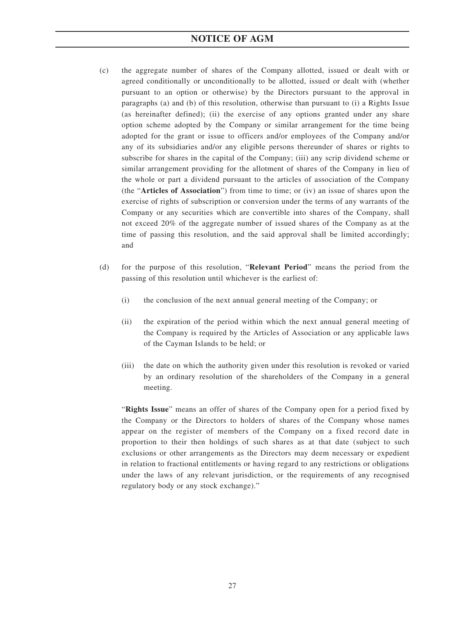## **NOTICE OF AGM**

- (c) the aggregate number of shares of the Company allotted, issued or dealt with or agreed conditionally or unconditionally to be allotted, issued or dealt with (whether pursuant to an option or otherwise) by the Directors pursuant to the approval in paragraphs (a) and (b) of this resolution, otherwise than pursuant to (i) a Rights Issue (as hereinafter defined); (ii) the exercise of any options granted under any share option scheme adopted by the Company or similar arrangement for the time being adopted for the grant or issue to officers and/or employees of the Company and/or any of its subsidiaries and/or any eligible persons thereunder of shares or rights to subscribe for shares in the capital of the Company; (iii) any scrip dividend scheme or similar arrangement providing for the allotment of shares of the Company in lieu of the whole or part a dividend pursuant to the articles of association of the Company (the "**Articles of Association**") from time to time; or (iv) an issue of shares upon the exercise of rights of subscription or conversion under the terms of any warrants of the Company or any securities which are convertible into shares of the Company, shall not exceed 20% of the aggregate number of issued shares of the Company as at the time of passing this resolution, and the said approval shall be limited accordingly; and
- (d) for the purpose of this resolution, "**Relevant Period**" means the period from the passing of this resolution until whichever is the earliest of:
	- (i) the conclusion of the next annual general meeting of the Company; or
	- (ii) the expiration of the period within which the next annual general meeting of the Company is required by the Articles of Association or any applicable laws of the Cayman Islands to be held; or
	- (iii) the date on which the authority given under this resolution is revoked or varied by an ordinary resolution of the shareholders of the Company in a general meeting.

"**Rights Issue**" means an offer of shares of the Company open for a period fixed by the Company or the Directors to holders of shares of the Company whose names appear on the register of members of the Company on a fixed record date in proportion to their then holdings of such shares as at that date (subject to such exclusions or other arrangements as the Directors may deem necessary or expedient in relation to fractional entitlements or having regard to any restrictions or obligations under the laws of any relevant jurisdiction, or the requirements of any recognised regulatory body or any stock exchange)."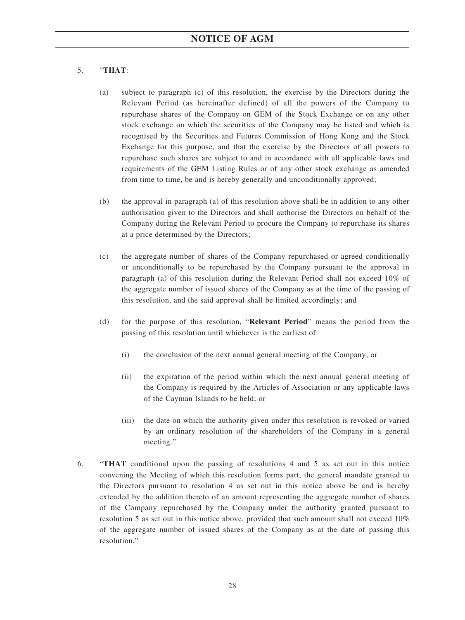### 5. "**THAT**:

- (a) subject to paragraph (c) of this resolution, the exercise by the Directors during the Relevant Period (as hereinafter defined) of all the powers of the Company to repurchase shares of the Company on GEM of the Stock Exchange or on any other stock exchange on which the securities of the Company may be listed and which is recognised by the Securities and Futures Commission of Hong Kong and the Stock Exchange for this purpose, and that the exercise by the Directors of all powers to repurchase such shares are subject to and in accordance with all applicable laws and requirements of the GEM Listing Rules or of any other stock exchange as amended from time to time, be and is hereby generally and unconditionally approved;
- (b) the approval in paragraph (a) of this resolution above shall be in addition to any other authorisation given to the Directors and shall authorise the Directors on behalf of the Company during the Relevant Period to procure the Company to repurchase its shares at a price determined by the Directors;
- (c) the aggregate number of shares of the Company repurchased or agreed conditionally or unconditionally to be repurchased by the Company pursuant to the approval in paragraph (a) of this resolution during the Relevant Period shall not exceed 10% of the aggregate number of issued shares of the Company as at the time of the passing of this resolution, and the said approval shall be limited accordingly; and
- (d) for the purpose of this resolution, "**Relevant Period**" means the period from the passing of this resolution until whichever is the earliest of:
	- (i) the conclusion of the next annual general meeting of the Company; or
	- (ii) the expiration of the period within which the next annual general meeting of the Company is required by the Articles of Association or any applicable laws of the Cayman Islands to be held; or
	- (iii) the date on which the authority given under this resolution is revoked or varied by an ordinary resolution of the shareholders of the Company in a general meeting."
- 6. "**THAT** conditional upon the passing of resolutions 4 and 5 as set out in this notice convening the Meeting of which this resolution forms part, the general mandate granted to the Directors pursuant to resolution 4 as set out in this notice above be and is hereby extended by the addition thereto of an amount representing the aggregate number of shares of the Company repurchased by the Company under the authority granted pursuant to resolution 5 as set out in this notice above, provided that such amount shall not exceed 10% of the aggregate number of issued shares of the Company as at the date of passing this resolution."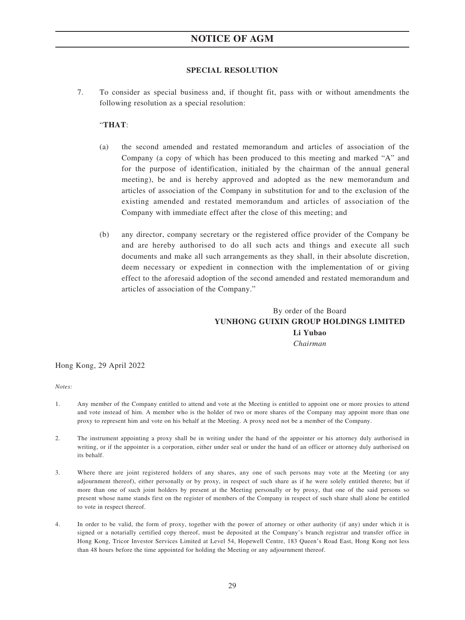#### **SPECIAL RESOLUTION**

7. To consider as special business and, if thought fit, pass with or without amendments the following resolution as a special resolution:

#### "**THAT**:

- (a) the second amended and restated memorandum and articles of association of the Company (a copy of which has been produced to this meeting and marked "A" and for the purpose of identification, initialed by the chairman of the annual general meeting), be and is hereby approved and adopted as the new memorandum and articles of association of the Company in substitution for and to the exclusion of the existing amended and restated memorandum and articles of association of the Company with immediate effect after the close of this meeting; and
- (b) any director, company secretary or the registered office provider of the Company be and are hereby authorised to do all such acts and things and execute all such documents and make all such arrangements as they shall, in their absolute discretion, deem necessary or expedient in connection with the implementation of or giving effect to the aforesaid adoption of the second amended and restated memorandum and articles of association of the Company."

## By order of the Board **YUNHONG GUIXIN GROUP HOLDINGS LIMITED Li Yubao** *Chairman*

#### Hong Kong, 29 April 2022

#### *Notes:*

- 1. Any member of the Company entitled to attend and vote at the Meeting is entitled to appoint one or more proxies to attend and vote instead of him. A member who is the holder of two or more shares of the Company may appoint more than one proxy to represent him and vote on his behalf at the Meeting. A proxy need not be a member of the Company.
- 2. The instrument appointing a proxy shall be in writing under the hand of the appointer or his attorney duly authorised in writing, or if the appointer is a corporation, either under seal or under the hand of an officer or attorney duly authorised on its behalf.
- 3. Where there are joint registered holders of any shares, any one of such persons may vote at the Meeting (or any adjournment thereof), either personally or by proxy, in respect of such share as if he were solely entitled thereto; but if more than one of such joint holders by present at the Meeting personally or by proxy, that one of the said persons so present whose name stands first on the register of members of the Company in respect of such share shall alone be entitled to vote in respect thereof.
- 4. In order to be valid, the form of proxy, together with the power of attorney or other authority (if any) under which it is signed or a notarially certified copy thereof, must be deposited at the Company's branch registrar and transfer office in Hong Kong, Tricor Investor Services Limited at Level 54, Hopewell Centre, 183 Queen's Road East, Hong Kong not less than 48 hours before the time appointed for holding the Meeting or any adjournment thereof.